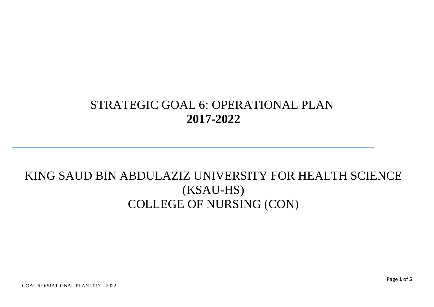## STRATEGIC GOAL 6: OPERATIONAL PLAN **2017-2022**

## KING SAUD BIN ABDULAZIZ UNIVERSITY FOR HEALTH SCIENCE (KSAU-HS) COLLEGE OF NURSING (CON)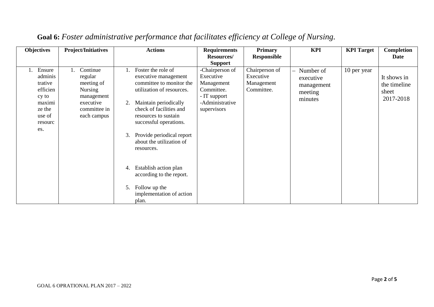| <b>Objectives</b>                                                                                 | <b>Project/Initiatives</b>                                                                                    | <b>Actions</b>                                                                                                                                                                                                                                                                               | <b>Requirements</b>                                                                                        | <b>Primary</b>                                          | <b>KPI</b>                                                 | <b>KPI</b> Target | Completion                                        |
|---------------------------------------------------------------------------------------------------|---------------------------------------------------------------------------------------------------------------|----------------------------------------------------------------------------------------------------------------------------------------------------------------------------------------------------------------------------------------------------------------------------------------------|------------------------------------------------------------------------------------------------------------|---------------------------------------------------------|------------------------------------------------------------|-------------------|---------------------------------------------------|
|                                                                                                   |                                                                                                               |                                                                                                                                                                                                                                                                                              | <b>Resources/</b>                                                                                          | <b>Responsible</b>                                      |                                                            |                   | Date                                              |
|                                                                                                   |                                                                                                               |                                                                                                                                                                                                                                                                                              | <b>Support</b>                                                                                             |                                                         |                                                            |                   |                                                   |
| Ensure<br>adminis<br>trative<br>efficien<br>cy to<br>maximi<br>ze the<br>use of<br>resourc<br>es. | Continue<br>regular<br>meeting of<br><b>Nursing</b><br>management<br>executive<br>committee in<br>each campus | Foster the role of<br>executive management<br>committee to monitor the<br>utilization of resources.<br>Maintain periodically<br>2.<br>check of facilities and<br>resources to sustain<br>successful operations.<br>Provide periodical report<br>3.<br>about the utilization of<br>resources. | -Chairperson of<br>Executive<br>Management<br>Committee.<br>- IT support<br>-Administrative<br>supervisors | Chairperson of<br>Executive<br>Management<br>Committee. | Number of<br>executive<br>management<br>meeting<br>minutes | 10 per year       | It shows in<br>the timeline<br>sheet<br>2017-2018 |
|                                                                                                   |                                                                                                               | Establish action plan<br>4.<br>according to the report.                                                                                                                                                                                                                                      |                                                                                                            |                                                         |                                                            |                   |                                                   |
|                                                                                                   |                                                                                                               | Follow up the<br>5.<br>implementation of action<br>plan.                                                                                                                                                                                                                                     |                                                                                                            |                                                         |                                                            |                   |                                                   |

## **Goal 6:** *Foster administrative performance that facilitates efficiency at College of Nursing.*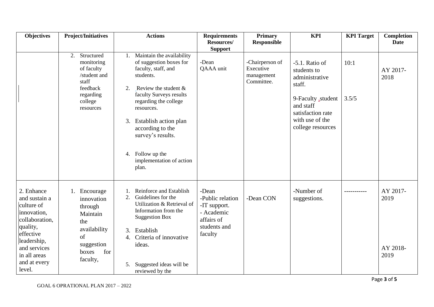| <b>Objectives</b>                                                                                                                                                            | <b>Project/Initiatives</b>                                                                                                          | <b>Actions</b>                                                                                                                                                                                                                                                                                                                     | <b>Requirements</b><br>Resources/                                                                | <b>Primary</b>                                           | <b>KPI</b>                                                                                                                                                  | <b>KPI</b> Target | <b>Completion</b><br><b>Date</b>     |
|------------------------------------------------------------------------------------------------------------------------------------------------------------------------------|-------------------------------------------------------------------------------------------------------------------------------------|------------------------------------------------------------------------------------------------------------------------------------------------------------------------------------------------------------------------------------------------------------------------------------------------------------------------------------|--------------------------------------------------------------------------------------------------|----------------------------------------------------------|-------------------------------------------------------------------------------------------------------------------------------------------------------------|-------------------|--------------------------------------|
|                                                                                                                                                                              |                                                                                                                                     |                                                                                                                                                                                                                                                                                                                                    | <b>Support</b>                                                                                   | <b>Responsible</b>                                       |                                                                                                                                                             |                   |                                      |
|                                                                                                                                                                              | 2. Structured<br>monitoring<br>of faculty<br>/student and<br>staff<br>feedback<br>regarding<br>college<br>resources                 | Maintain the availability<br>1.<br>of suggestion boxes for<br>faculty, staff, and<br>students.<br>Review the student $\&$<br>2.<br>faculty Surveys results<br>regarding the college<br>resources.<br>Establish action plan<br>3.<br>according to the<br>survey's results.<br>4. Follow up the<br>implementation of action<br>plan. | -Dean<br>QAAA unit                                                                               | -Chairperson of<br>Executive<br>management<br>Committee. | $-5.1$ . Ratio of<br>students to<br>administrative<br>staff.<br>9-Faculty student<br>and staff<br>satisfaction rate<br>with use of the<br>college resources | 10:1<br>3.5/5     | AY 2017-<br>2018                     |
| 2. Enhance<br>and sustain a<br>culture of<br>innovation,<br>collaboration,<br>quality,<br>effective<br>leadership,<br>and services<br>in all areas<br>and at every<br>level. | 1. Encourage<br>innovation<br>through<br>Maintain<br>the<br>availability<br><sub>of</sub><br>suggestion<br>for<br>boxes<br>faculty, | Reinforce and Establish<br>Guidelines for the<br>2.<br>Utilization & Retrieval of<br>Information from the<br><b>Suggestion Box</b><br>Establish<br>3.<br>Criteria of innovative<br>4.<br>ideas.<br>Suggested ideas will be<br>5.<br>reviewed by the                                                                                | -Dean<br>-Public relation<br>-IT support.<br>- Academic<br>affairs of<br>students and<br>faculty | -Dean CON                                                | -Number of<br>suggestions.                                                                                                                                  |                   | AY 2017-<br>2019<br>AY 2018-<br>2019 |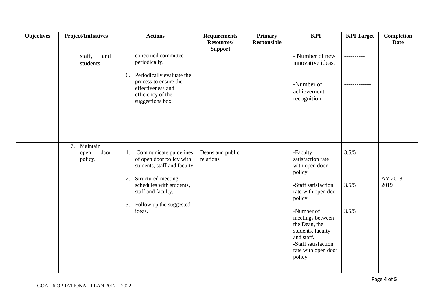| <b>Objectives</b> | <b>Project/Initiatives</b>             | <b>Actions</b>                                                                                                                                                                                                | <b>Requirements</b><br>Resources/ | <b>Primary</b><br><b>Responsible</b> | <b>KPI</b>                                                                                                                                                                                                                                                         | <b>KPI</b> Target       | <b>Completion</b><br><b>Date</b> |
|-------------------|----------------------------------------|---------------------------------------------------------------------------------------------------------------------------------------------------------------------------------------------------------------|-----------------------------------|--------------------------------------|--------------------------------------------------------------------------------------------------------------------------------------------------------------------------------------------------------------------------------------------------------------------|-------------------------|----------------------------------|
|                   | staff,<br>and<br>students.             | concerned committee<br>periodically.<br>Periodically evaluate the<br>6.<br>process to ensure the<br>effectiveness and<br>efficiency of the<br>suggestions box.                                                | <b>Support</b>                    |                                      | - Number of new<br>innovative ideas.<br>-Number of<br>achievement<br>recognition.                                                                                                                                                                                  | -----------             |                                  |
|                   | 7. Maintain<br>door<br>open<br>policy. | Communicate guidelines<br>1.<br>of open door policy with<br>students, staff and faculty<br>Structured meeting<br>2.<br>schedules with students,<br>staff and faculty.<br>3. Follow up the suggested<br>ideas. | Deans and public<br>relations     |                                      | -Faculty<br>satisfaction rate<br>with open door<br>policy.<br>-Staff satisfaction<br>rate with open door<br>policy.<br>-Number of<br>meetings between<br>the Dean, the<br>students, faculty<br>and staff.<br>-Staff satisfaction<br>rate with open door<br>policy. | 3.5/5<br>3.5/5<br>3.5/5 | AY 2018-<br>2019                 |